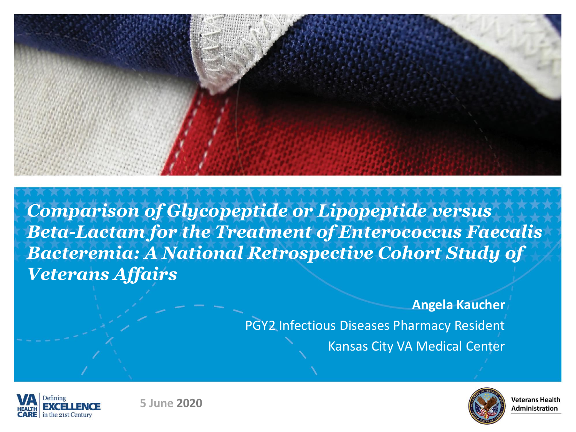

*Comparison of Glycopeptide or Lipopeptide versus Beta-Lactam for the Treatment of Enterococcus Faecalis Bacteremia: A National Retrospective Cohort Study of Veterans Affairs*

> **Angela Kaucher** PGY2 Infectious Diseases Pharmacy Resident Kansas City VA Medical Center





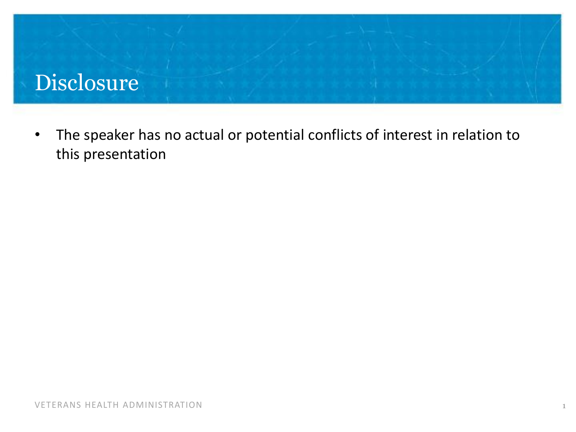## Disclosure

• The speaker has no actual or potential conflicts of interest in relation to this presentation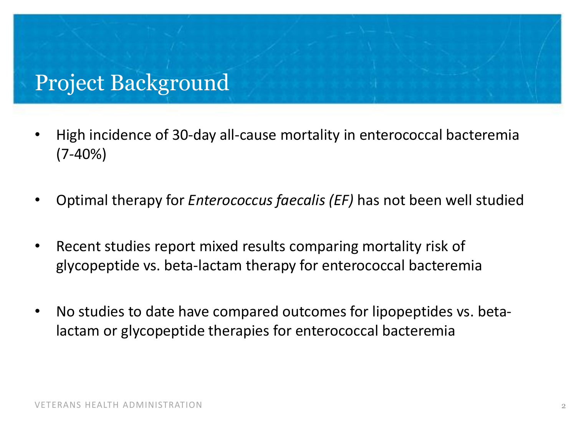### Project Background

- High incidence of 30-day all-cause mortality in enterococcal bacteremia (7-40%)
- Optimal therapy for *Enterococcus faecalis (EF)* has not been well studied
- Recent studies report mixed results comparing mortality risk of glycopeptide vs. beta-lactam therapy for enterococcal bacteremia
- No studies to date have compared outcomes for lipopeptides vs. betalactam or glycopeptide therapies for enterococcal bacteremia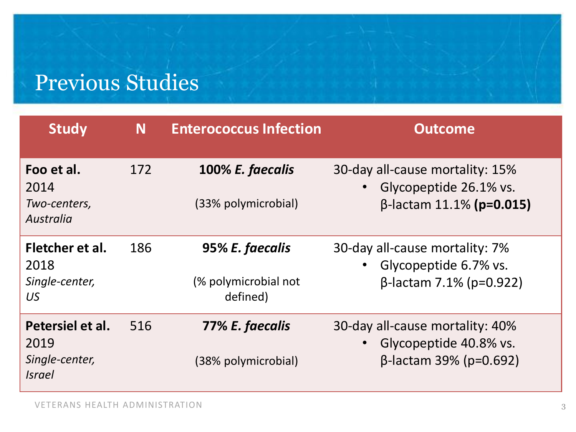## Previous Studies

| <b>Study</b>                                  | N   | <b>Enterococcus Infection</b>    | <b>Outcome</b>                                                         |
|-----------------------------------------------|-----|----------------------------------|------------------------------------------------------------------------|
| Foo et al.<br>2014                            | 172 | 100% E. faecalis                 | 30-day all-cause mortality: 15%<br>Glycopeptide 26.1% vs.<br>$\bullet$ |
| Two-centers,<br>Australia                     |     | (33% polymicrobial)              | $\beta$ -lactam 11.1% (p=0.015)                                        |
| Fletcher et al.<br>2018                       | 186 | 95% E. faecalis                  | 30-day all-cause mortality: 7%<br>Glycopeptide 6.7% vs.                |
| Single-center,<br>US                          |     | (% polymicrobial not<br>defined) | $\beta$ -lactam 7.1% (p=0.922)                                         |
| Petersiel et al.<br>2019                      | 516 | 77% E. faecalis                  | 30-day all-cause mortality: 40%<br>Glycopeptide 40.8% vs.              |
| Single-center,<br><i><u><b>Israel</b></u></i> |     | (38% polymicrobial)              | $\beta$ -lactam 39% (p=0.692)                                          |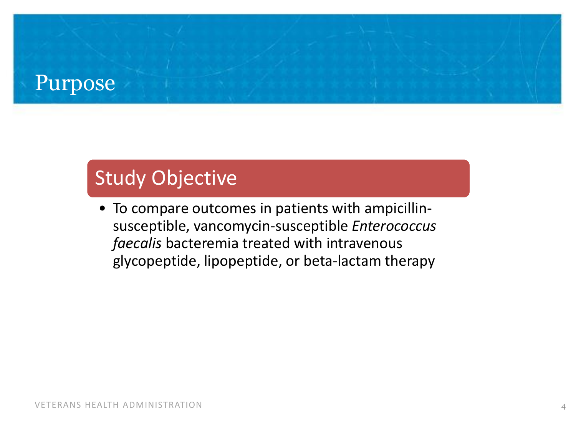#### Purpose

#### Study Objective

• To compare outcomes in patients with ampicillinsusceptible, vancomycin-susceptible *Enterococcus faecalis* bacteremia treated with intravenous glycopeptide, lipopeptide, or beta-lactam therapy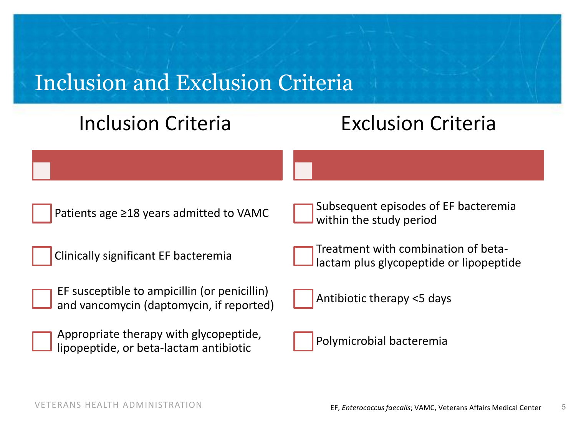## Inclusion and Exclusion Criteria

#### Inclusion Criteria

#### Exclusion Criteria

Subsequent episodes of EF bacteremia

Patients age ≥18 years admitted to VAMC

Clinically significant EF bacteremia

- EF susceptible to ampicillin (or penicillin) and vancomycin (daptomycin, if reported)
- Appropriate therapy with glycopeptide, lipopeptide, or beta-lactam antibiotic

VETERANS HEALTH ADMINISTRATION



Antibiotic therapy <5 days



Polymicrobial bacteremia



Treatment with combination of betalactam plus glycopeptide or lipopeptide

within the study period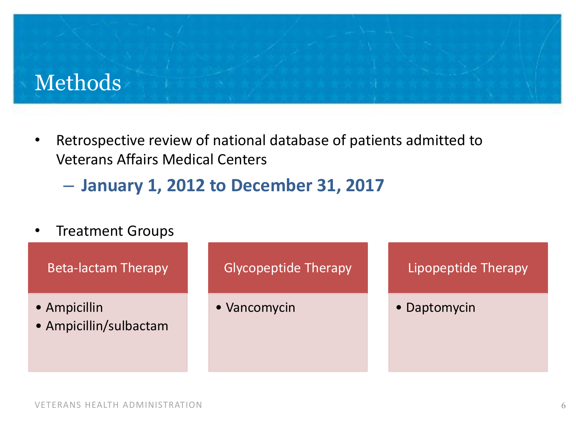## **Methods**

- Retrospective review of national database of patients admitted to Veterans Affairs Medical Centers
	- **January 1, 2012 to December 31, 2017**
- Treatment Groups

Beta-lactam Therapy

- Ampicillin
- Ampicillin/sulbactam

Glycopeptide Therapy

• Vancomycin

Lipopeptide Therapy

• Daptomycin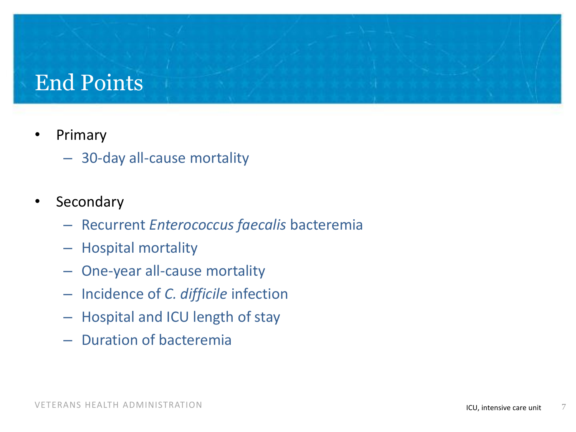## End Points

- **Primary** 
	- 30-day all-cause mortality
- **Secondary** 
	- Recurrent *Enterococcus faecalis* bacteremia
	- Hospital mortality
	- One-year all-cause mortality
	- Incidence of *C. difficile* infection
	- Hospital and ICU length of stay
	- Duration of bacteremia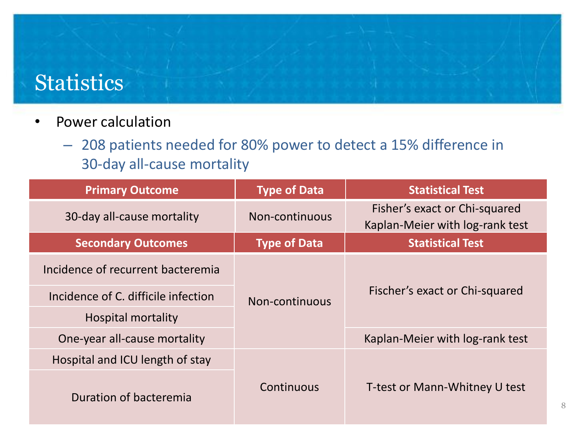### **Statistics**

- Power calculation
	- 208 patients needed for 80% power to detect a 15% difference in 30-day all-cause mortality

| <b>Primary Outcome</b>              | <b>Type of Data</b> | <b>Statistical Test</b>                                          |  |
|-------------------------------------|---------------------|------------------------------------------------------------------|--|
| 30-day all-cause mortality          | Non-continuous      | Fisher's exact or Chi-squared<br>Kaplan-Meier with log-rank test |  |
| <b>Secondary Outcomes</b>           | <b>Type of Data</b> | <b>Statistical Test</b>                                          |  |
| Incidence of recurrent bacteremia   |                     | Fischer's exact or Chi-squared                                   |  |
| Incidence of C. difficile infection | Non-continuous      |                                                                  |  |
| <b>Hospital mortality</b>           |                     |                                                                  |  |
| One-year all-cause mortality        |                     | Kaplan-Meier with log-rank test                                  |  |
| Hospital and ICU length of stay     |                     |                                                                  |  |
| Duration of bacteremia              | Continuous          | T-test or Mann-Whitney U test                                    |  |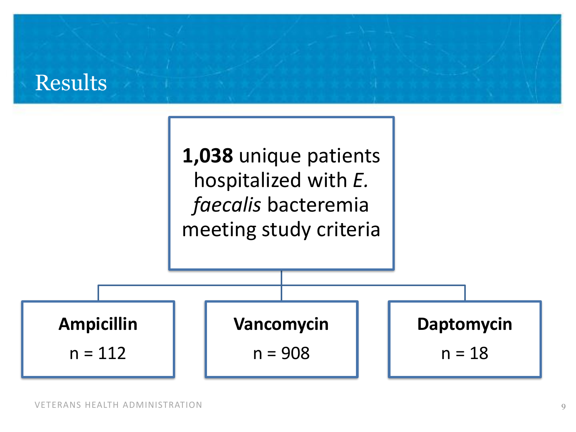

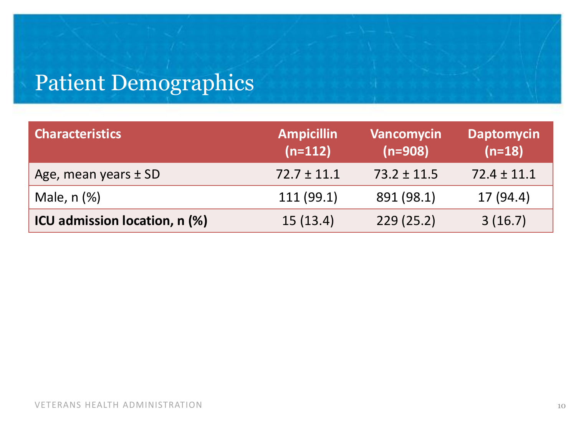# Patient Demographics

| <b>Characteristics</b>        | <b>Ampicillin</b><br>$(n=112)$ | <b>Vancomycin</b><br>$(n=908)$ | <b>Daptomycin</b><br>$(n=18)$ |
|-------------------------------|--------------------------------|--------------------------------|-------------------------------|
| Age, mean years ± SD          | $72.7 \pm 11.1$                | $73.2 \pm 11.5$                | $72.4 \pm 11.1$               |
| Male, $n$ $%$                 | 111(99.1)                      | 891 (98.1)                     | 17(94.4)                      |
| ICU admission location, n (%) | 15(13.4)                       | 229(25.2)                      | 3(16.7)                       |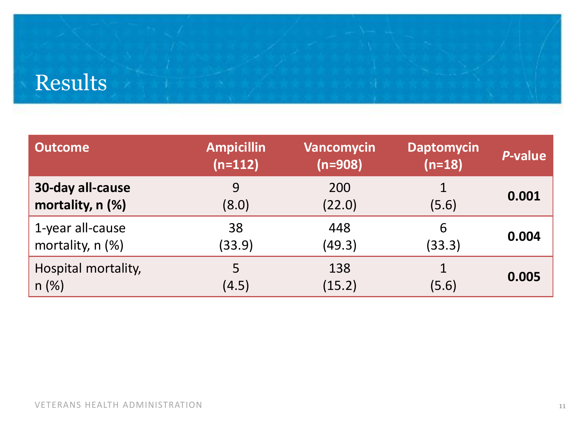| <b>Outcome</b>                       | <b>Ampicillin</b><br>$(n=112)$ | Vancomycin<br>$(n=908)$ | <b>Daptomycin</b><br>$(n=18)$ | <b>P-value</b> |
|--------------------------------------|--------------------------------|-------------------------|-------------------------------|----------------|
| 30-day all-cause<br>mortality, n (%) | 9<br>(8.0)                     | 200<br>(22.0)           | (5.6)                         | 0.001          |
| 1-year all-cause<br>mortality, n (%) | 38<br>(33.9)                   | 448<br>(49.3)           | 6<br>(33.3)                   | 0.004          |
| Hospital mortality,<br>n(%)          | 5<br>(4.5)                     | 138<br>(15.2)           | (5.6)                         | 0.005          |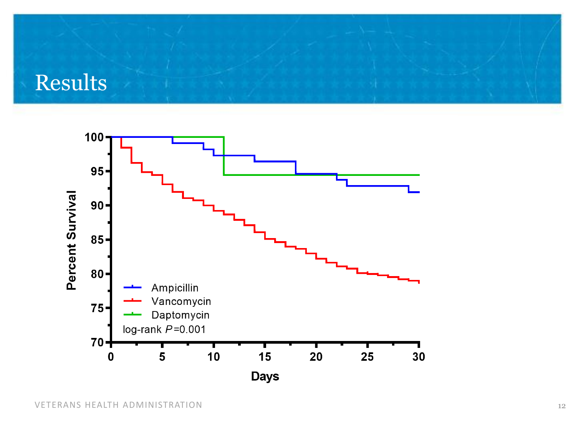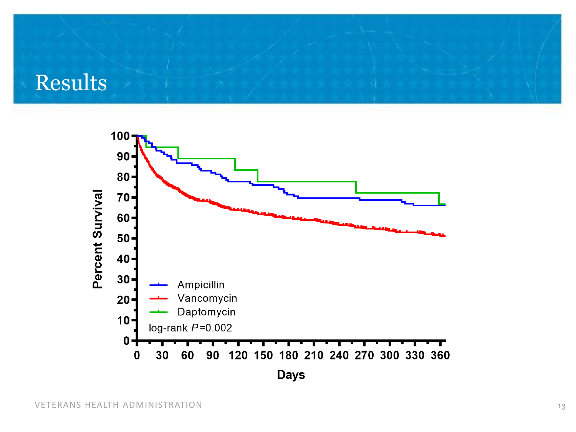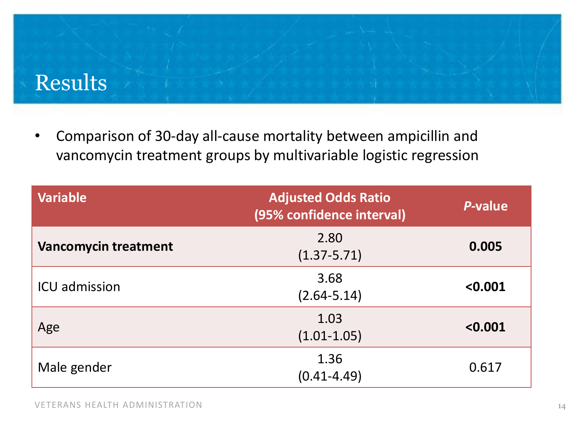• Comparison of 30-day all-cause mortality between ampicillin and vancomycin treatment groups by multivariable logistic regression

| <b>Variable</b>             | <b>Adjusted Odds Ratio</b><br>(95% confidence interval) | <b>P-value</b> |
|-----------------------------|---------------------------------------------------------|----------------|
| <b>Vancomycin treatment</b> | 2.80<br>$(1.37 - 5.71)$                                 | 0.005          |
| <b>ICU</b> admission        | 3.68<br>$(2.64 - 5.14)$                                 | < 0.001        |
| Age                         | 1.03<br>$(1.01 - 1.05)$                                 | < 0.001        |
| Male gender                 | 1.36<br>$(0.41 - 4.49)$                                 | 0.617          |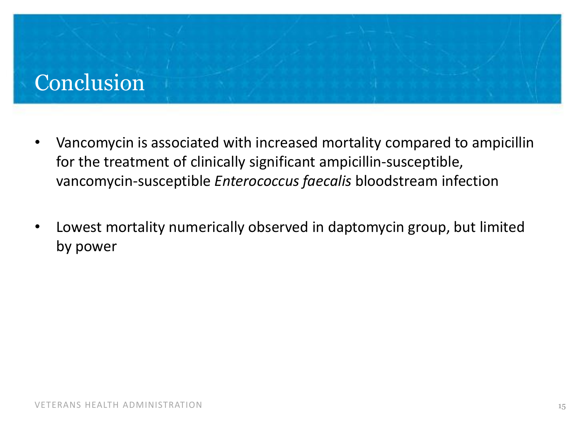## Conclusion

- Vancomycin is associated with increased mortality compared to ampicillin for the treatment of clinically significant ampicillin-susceptible, vancomycin-susceptible *Enterococcus faecalis* bloodstream infection
- Lowest mortality numerically observed in daptomycin group, but limited by power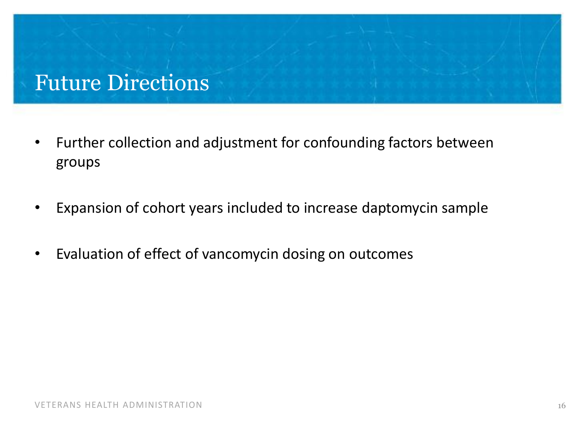#### Future Directions

- Further collection and adjustment for confounding factors between groups
- Expansion of cohort years included to increase daptomycin sample
- Evaluation of effect of vancomycin dosing on outcomes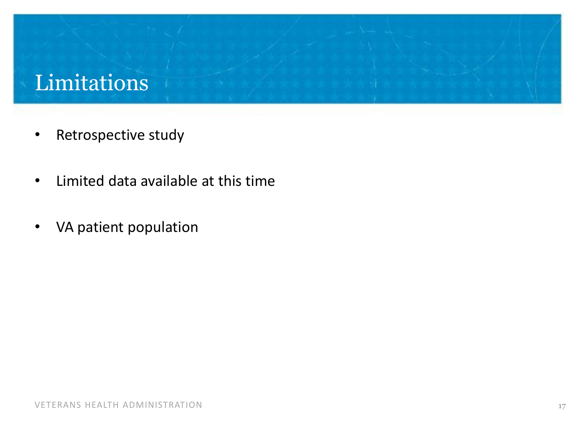## Limitations

- Retrospective study
- Limited data available at this time
- VA patient population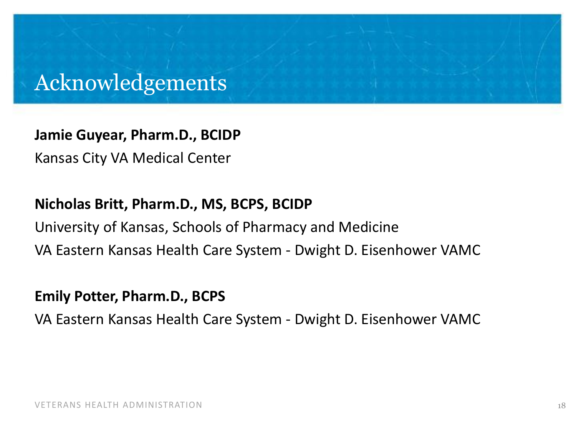## Acknowledgements

**Jamie Guyear, Pharm.D., BCIDP**

Kansas City VA Medical Center

#### **Nicholas Britt, Pharm.D., MS, BCPS, BCIDP**

University of Kansas, Schools of Pharmacy and Medicine VA Eastern Kansas Health Care System - Dwight D. Eisenhower VAMC

#### **Emily Potter, Pharm.D., BCPS**

VA Eastern Kansas Health Care System - Dwight D. Eisenhower VAMC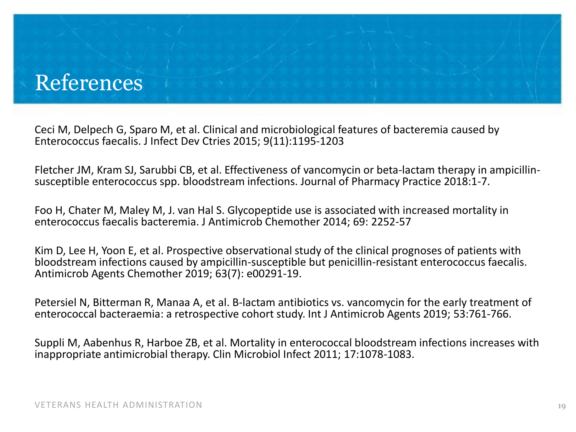#### References

Ceci M, Delpech G, Sparo M, et al. Clinical and microbiological features of bacteremia caused by Enterococcus faecalis. J Infect Dev Ctries 2015; 9(11):1195-1203

Fletcher JM, Kram SJ, Sarubbi CB, et al. Effectiveness of vancomycin or beta-lactam therapy in ampicillinsusceptible enterococcus spp. bloodstream infections. Journal of Pharmacy Practice 2018:1-7.

Foo H, Chater M, Maley M, J. van Hal S. Glycopeptide use is associated with increased mortality in enterococcus faecalis bacteremia. J Antimicrob Chemother 2014; 69: 2252-57

Kim D, Lee H, Yoon E, et al. Prospective observational study of the clinical prognoses of patients with bloodstream infections caused by ampicillin-susceptible but penicillin-resistant enterococcus faecalis. Antimicrob Agents Chemother 2019; 63(7): e00291-19.

Petersiel N, Bitterman R, Manaa A, et al. B-lactam antibiotics vs. vancomycin for the early treatment of enterococcal bacteraemia: a retrospective cohort study. Int J Antimicrob Agents 2019; 53:761-766.

Suppli M, Aabenhus R, Harboe ZB, et al. Mortality in enterococcal bloodstream infections increases with inappropriate antimicrobial therapy. Clin Microbiol Infect 2011; 17:1078-1083.